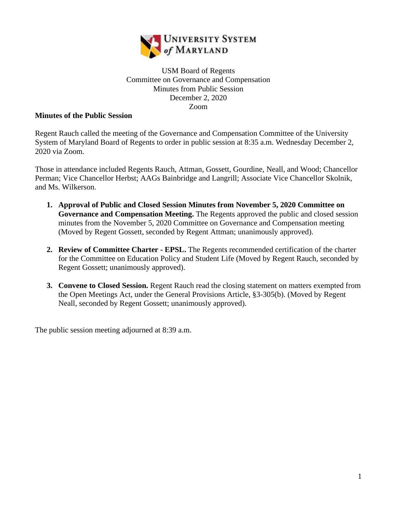

## USM Board of Regents Committee on Governance and Compensation Minutes from Public Session December 2, 2020 Zoom

## **Minutes of the Public Session**

Regent Rauch called the meeting of the Governance and Compensation Committee of the University System of Maryland Board of Regents to order in public session at 8:35 a.m. Wednesday December 2, 2020 via Zoom.

Those in attendance included Regents Rauch, Attman, Gossett, Gourdine, Neall, and Wood; Chancellor Perman; Vice Chancellor Herbst; AAGs Bainbridge and Langrill; Associate Vice Chancellor Skolnik, and Ms. Wilkerson.

- **1. Approval of Public and Closed Session Minutes from November 5, 2020 Committee on Governance and Compensation Meeting.** The Regents approved the public and closed session minutes from the November 5, 2020 Committee on Governance and Compensation meeting (Moved by Regent Gossett, seconded by Regent Attman; unanimously approved).
- **2. Review of Committee Charter - EPSL.** The Regents recommended certification of the charter for the Committee on Education Policy and Student Life (Moved by Regent Rauch, seconded by Regent Gossett; unanimously approved).
- **3. Convene to Closed Session.** Regent Rauch read the closing statement on matters exempted from the Open Meetings Act, under the General Provisions Article, §3-305(b). (Moved by Regent Neall, seconded by Regent Gossett; unanimously approved).

The public session meeting adjourned at 8:39 a.m.